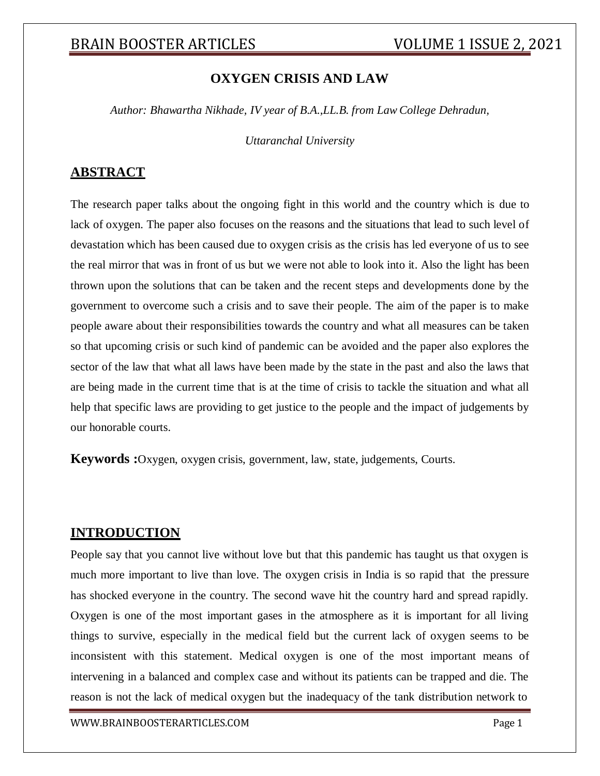### **OXYGEN CRISIS AND LAW**

*Author: Bhawartha Nikhade, IV year of B.A.,LL.B. from Law College Dehradun,*

*Uttaranchal University*

#### **ABSTRACT**

The research paper talks about the ongoing fight in this world and the country which is due to lack of oxygen. The paper also focuses on the reasons and the situations that lead to such level of devastation which has been caused due to oxygen crisis as the crisis has led everyone of us to see the real mirror that was in front of us but we were not able to look into it. Also the light has been thrown upon the solutions that can be taken and the recent steps and developments done by the government to overcome such a crisis and to save their people. The aim of the paper is to make people aware about their responsibilities towards the country and what all measures can be taken so that upcoming crisis or such kind of pandemic can be avoided and the paper also explores the sector of the law that what all laws have been made by the state in the past and also the laws that are being made in the current time that is at the time of crisis to tackle the situation and what all help that specific laws are providing to get justice to the people and the impact of judgements by our honorable courts.

**Keywords :**Oxygen, oxygen crisis, government, law, state, judgements, Courts.

#### **INTRODUCTION**

People say that you cannot live without love but that this pandemic has taught us that oxygen is much more important to live than love. The oxygen crisis in India is so rapid that the pressure has shocked everyone in the country. The second wave hit the country hard and spread rapidly. Oxygen is one of the most important gases in the atmosphere as it is important for all living things to survive, especially in the medical field but the current lack of oxygen seems to be inconsistent with this statement. Medical oxygen is one of the most important means of intervening in a balanced and complex case and without its patients can be trapped and die. The reason is not the lack of medical oxygen but the inadequacy of the tank distribution network to

[WWW.BRAINBOOSTERARTICLES.COM](http://www.brainboosterarticles.com/) Page 1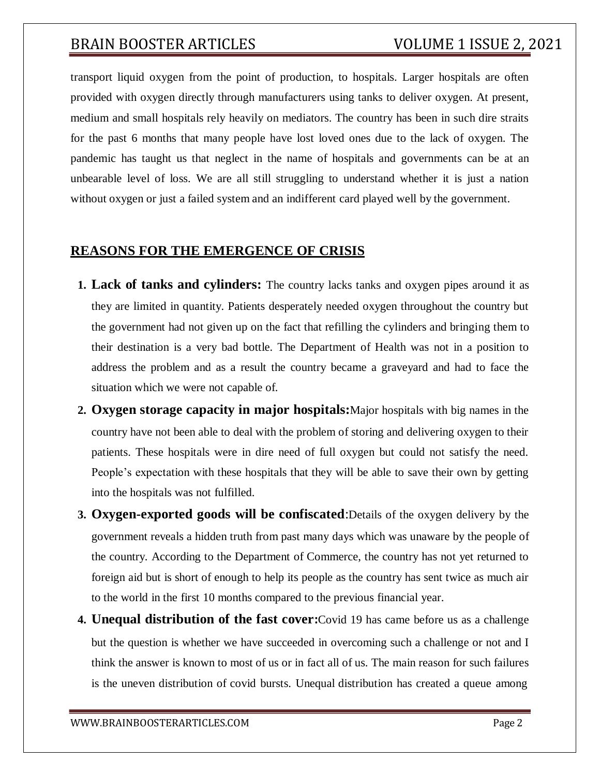transport liquid oxygen from the point of production, to hospitals. Larger hospitals are often provided with oxygen directly through manufacturers using tanks to deliver oxygen. At present, medium and small hospitals rely heavily on mediators. The country has been in such dire straits for the past 6 months that many people have lost loved ones due to the lack of oxygen. The pandemic has taught us that neglect in the name of hospitals and governments can be at an unbearable level of loss. We are all still struggling to understand whether it is just a nation without oxygen or just a failed system and an indifferent card played well by the government.

#### **REASONS FOR THE EMERGENCE OF CRISIS**

- **1. Lack of tanks and cylinders:** The country lacks tanks and oxygen pipes around it as they are limited in quantity. Patients desperately needed oxygen throughout the country but the government had not given up on the fact that refilling the cylinders and bringing them to their destination is a very bad bottle. The Department of Health was not in a position to address the problem and as a result the country became a graveyard and had to face the situation which we were not capable of.
- **2. Oxygen storage capacity in major hospitals:**Major hospitals with big names in the country have not been able to deal with the problem of storing and delivering oxygen to their patients. These hospitals were in dire need of full oxygen but could not satisfy the need. People's expectation with these hospitals that they will be able to save their own by getting into the hospitals was not fulfilled.
- **3. Oxygen-exported goods will be confiscated**:Details of the oxygen delivery by the government reveals a hidden truth from past many days which was unaware by the people of the country. According to the Department of Commerce, the country has not yet returned to foreign aid but is short of enough to help its people as the country has sent twice as much air to the world in the first 10 months compared to the previous financial year.
- **4. Unequal distribution of the fast cover:**Covid 19 has came before us as a challenge but the question is whether we have succeeded in overcoming such a challenge or not and I think the answer is known to most of us or in fact all of us. The main reason for such failures is the uneven distribution of covid bursts. Unequal distribution has created a queue among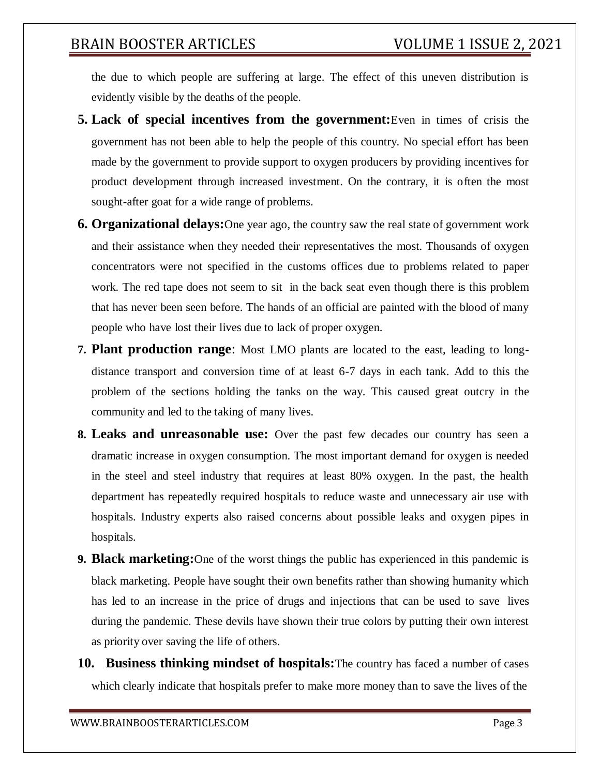the due to which people are suffering at large. The effect of this uneven distribution is evidently visible by the deaths of the people.

- **5. Lack of special incentives from the government:**Even in times of crisis the government has not been able to help the people of this country. No special effort has been made by the government to provide support to oxygen producers by providing incentives for product development through increased investment. On the contrary, it is often the most sought-after goat for a wide range of problems.
- **6. Organizational delays:**One year ago, the country saw the real state of government work and their assistance when they needed their representatives the most. Thousands of oxygen concentrators were not specified in the customs offices due to problems related to paper work. The red tape does not seem to sit in the back seat even though there is this problem that has never been seen before. The hands of an official are painted with the blood of many people who have lost their lives due to lack of proper oxygen.
- **7. Plant production range**: Most LMO plants are located to the east, leading to longdistance transport and conversion time of at least 6-7 days in each tank. Add to this the problem of the sections holding the tanks on the way. This caused great outcry in the community and led to the taking of many lives.
- **8. Leaks and unreasonable use:** Over the past few decades our country has seen a dramatic increase in oxygen consumption. The most important demand for oxygen is needed in the steel and steel industry that requires at least 80% oxygen. In the past, the health department has repeatedly required hospitals to reduce waste and unnecessary air use with hospitals. Industry experts also raised concerns about possible leaks and oxygen pipes in hospitals.
- **9. Black marketing:**One of the worst things the public has experienced in this pandemic is black marketing. People have sought their own benefits rather than showing humanity which has led to an increase in the price of drugs and injections that can be used to save lives during the pandemic. These devils have shown their true colors by putting their own interest as priority over saving the life of others.
- **10. Business thinking mindset of hospitals:**The country has faced a number of cases which clearly indicate that hospitals prefer to make more money than to save the lives of the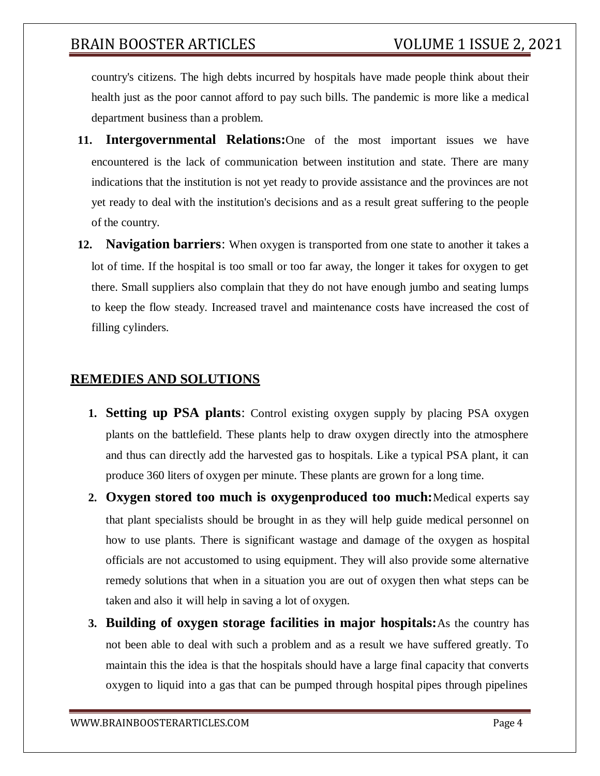country's citizens. The high debts incurred by hospitals have made people think about their health just as the poor cannot afford to pay such bills. The pandemic is more like a medical department business than a problem.

- **11. Intergovernmental Relations:**One of the most important issues we have encountered is the lack of communication between institution and state. There are many indications that the institution is not yet ready to provide assistance and the provinces are not yet ready to deal with the institution's decisions and as a result great suffering to the people of the country.
- **12. Navigation barriers**: When oxygen is transported from one state to another it takes a lot of time. If the hospital is too small or too far away, the longer it takes for oxygen to get there. Small suppliers also complain that they do not have enough jumbo and seating lumps to keep the flow steady. Increased travel and maintenance costs have increased the cost of filling cylinders.

### **REMEDIES AND SOLUTIONS**

- **1. Setting up PSA plants**: Control existing oxygen supply by placing PSA oxygen plants on the battlefield. These plants help to draw oxygen directly into the atmosphere and thus can directly add the harvested gas to hospitals. Like a typical PSA plant, it can produce 360 liters of oxygen per minute. These plants are grown for a long time.
- **2. Oxygen stored too much is oxygenproduced too much:**Medical experts say that plant specialists should be brought in as they will help guide medical personnel on how to use plants. There is significant wastage and damage of the oxygen as hospital officials are not accustomed to using equipment. They will also provide some alternative remedy solutions that when in a situation you are out of oxygen then what steps can be taken and also it will help in saving a lot of oxygen.
- **3. Building of oxygen storage facilities in major hospitals:**As the country has not been able to deal with such a problem and as a result we have suffered greatly. To maintain this the idea is that the hospitals should have a large final capacity that converts oxygen to liquid into a gas that can be pumped through hospital pipes through pipelines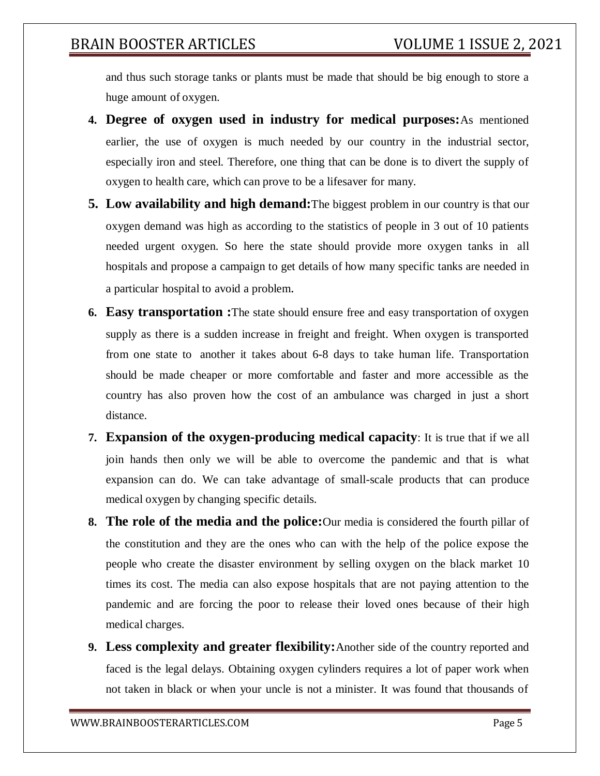and thus such storage tanks or plants must be made that should be big enough to store a huge amount of oxygen.

- **4. Degree of oxygen used in industry for medical purposes:**As mentioned earlier, the use of oxygen is much needed by our country in the industrial sector, especially iron and steel. Therefore, one thing that can be done is to divert the supply of oxygen to health care, which can prove to be a lifesaver for many.
- **5. Low availability and high demand:**The biggest problem in our country is that our oxygen demand was high as according to the statistics of people in 3 out of 10 patients needed urgent oxygen. So here the state should provide more oxygen tanks in all hospitals and propose a campaign to get details of how many specific tanks are needed in a particular hospital to avoid a problem.
- **6. Easy transportation :**The state should ensure free and easy transportation of oxygen supply as there is a sudden increase in freight and freight. When oxygen is transported from one state to another it takes about 6-8 days to take human life. Transportation should be made cheaper or more comfortable and faster and more accessible as the country has also proven how the cost of an ambulance was charged in just a short distance.
- **7. Expansion of the oxygen-producing medical capacity**: It is true that if we all join hands then only we will be able to overcome the pandemic and that is what expansion can do. We can take advantage of small-scale products that can produce medical oxygen by changing specific details.
- **8. The role of the media and the police:**Our media is considered the fourth pillar of the constitution and they are the ones who can with the help of the police expose the people who create the disaster environment by selling oxygen on the black market 10 times its cost. The media can also expose hospitals that are not paying attention to the pandemic and are forcing the poor to release their loved ones because of their high medical charges.
- **9. Less complexity and greater flexibility:**Another side of the country reported and faced is the legal delays. Obtaining oxygen cylinders requires a lot of paper work when not taken in black or when your uncle is not a minister. It was found that thousands of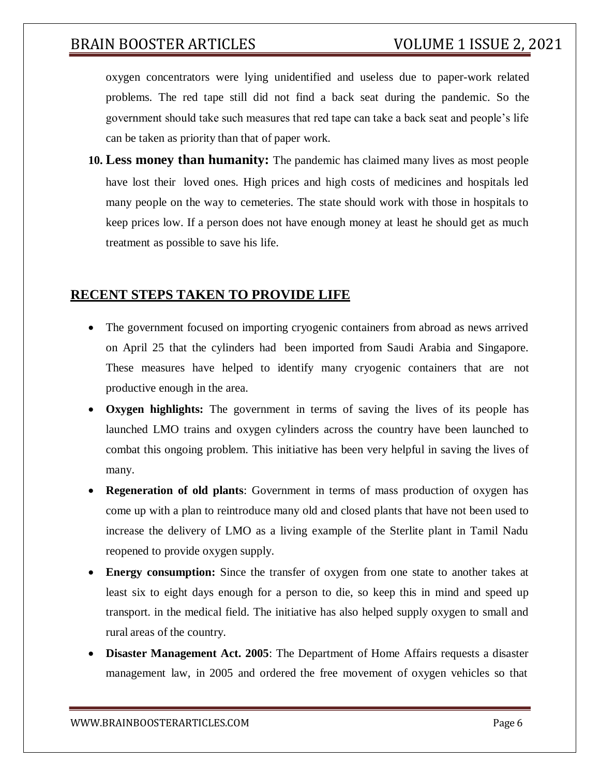oxygen concentrators were lying unidentified and useless due to paper-work related problems. The red tape still did not find a back seat during the pandemic. So the government should take such measures that red tape can take a back seat and people's life can be taken as priority than that of paper work.

**10. Less money than humanity:** The pandemic has claimed many lives as most people have lost their loved ones. High prices and high costs of medicines and hospitals led many people on the way to cemeteries. The state should work with those in hospitals to keep prices low. If a person does not have enough money at least he should get as much treatment as possible to save his life.

### **RECENT STEPS TAKEN TO PROVIDE LIFE**

- The government focused on importing cryogenic containers from abroad as news arrived on April 25 that the cylinders had been imported from Saudi Arabia and Singapore. These measures have helped to identify many cryogenic containers that are not productive enough in the area.
- **Oxygen highlights:** The government in terms of saving the lives of its people has launched LMO trains and oxygen cylinders across the country have been launched to combat this ongoing problem. This initiative has been very helpful in saving the lives of many.
- **Regeneration of old plants**: Government in terms of mass production of oxygen has come up with a plan to reintroduce many old and closed plants that have not been used to increase the delivery of LMO as a living example of the Sterlite plant in Tamil Nadu reopened to provide oxygen supply.
- **Energy consumption:** Since the transfer of oxygen from one state to another takes at least six to eight days enough for a person to die, so keep this in mind and speed up transport. in the medical field. The initiative has also helped supply oxygen to small and rural areas of the country.
- **Disaster Management Act. 2005**: The Department of Home Affairs requests a disaster management law, in 2005 and ordered the free movement of oxygen vehicles so that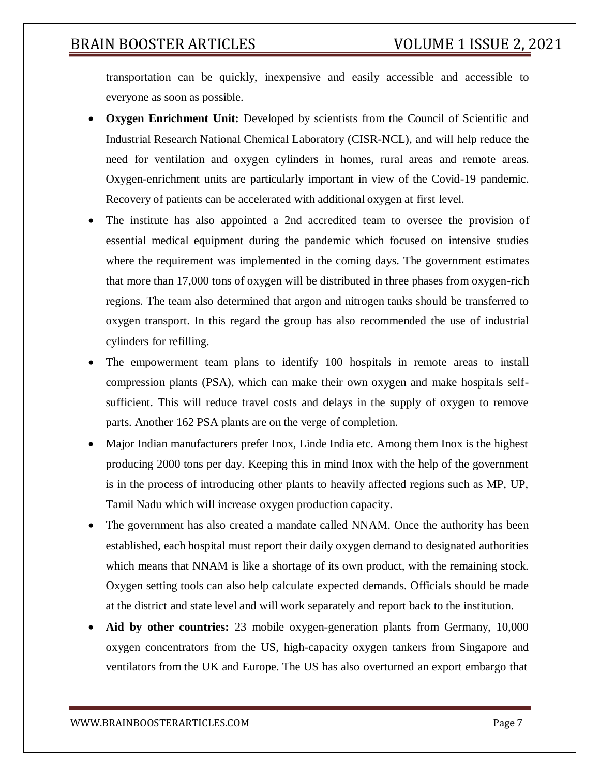transportation can be quickly, inexpensive and easily accessible and accessible to everyone as soon as possible.

- **Oxygen Enrichment Unit:** Developed by scientists from the Council of Scientific and Industrial Research National Chemical Laboratory (CISR-NCL), and will help reduce the need for ventilation and oxygen cylinders in homes, rural areas and remote areas. Oxygen-enrichment units are particularly important in view of the Covid-19 pandemic. Recovery of patients can be accelerated with additional oxygen at first level.
- The institute has also appointed a 2nd accredited team to oversee the provision of essential medical equipment during the pandemic which focused on intensive studies where the requirement was implemented in the coming days. The government estimates that more than 17,000 tons of oxygen will be distributed in three phases from oxygen-rich regions. The team also determined that argon and nitrogen tanks should be transferred to oxygen transport. In this regard the group has also recommended the use of industrial cylinders for refilling.
- The empowerment team plans to identify 100 hospitals in remote areas to install compression plants (PSA), which can make their own oxygen and make hospitals selfsufficient. This will reduce travel costs and delays in the supply of oxygen to remove parts. Another 162 PSA plants are on the verge of completion.
- Major Indian manufacturers prefer Inox, Linde India etc. Among them Inox is the highest producing 2000 tons per day. Keeping this in mind Inox with the help of the government is in the process of introducing other plants to heavily affected regions such as MP, UP, Tamil Nadu which will increase oxygen production capacity.
- The government has also created a mandate called NNAM. Once the authority has been established, each hospital must report their daily oxygen demand to designated authorities which means that NNAM is like a shortage of its own product, with the remaining stock. Oxygen setting tools can also help calculate expected demands. Officials should be made at the district and state level and will work separately and report back to the institution.
- **Aid by other countries:** 23 mobile oxygen-generation plants from Germany, 10,000 oxygen concentrators from the US, high-capacity oxygen tankers from Singapore and ventilators from the UK and Europe. The US has also overturned an export embargo that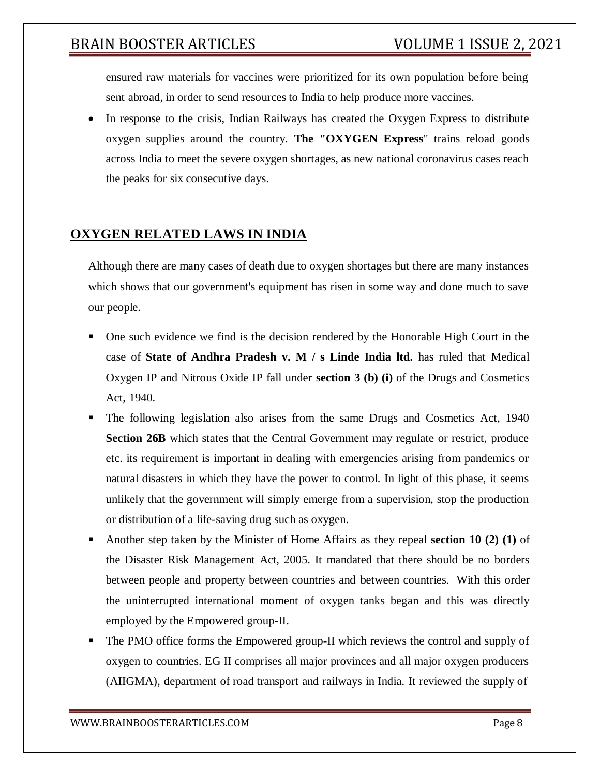ensured raw materials for vaccines were prioritized for its own population before being sent abroad, in order to send resources to India to help produce more vaccines.

 In response to the crisis, Indian Railways has created the Oxygen Express to distribute oxygen supplies around the country. **The "OXYGEN Express**" trains reload goods across India to meet the severe oxygen shortages, as new national coronavirus cases reach the peaks for six consecutive days.

## **OXYGEN RELATED LAWS IN INDIA**

Although there are many cases of death due to oxygen shortages but there are many instances which shows that our government's equipment has risen in some way and done much to save our people.

- One such evidence we find is the decision rendered by the Honorable High Court in the case of **State of Andhra Pradesh v. M / s Linde India ltd.** has ruled that Medical Oxygen IP and Nitrous Oxide IP fall under **section 3 (b) (i)** of the Drugs and Cosmetics Act, 1940.
- The following legislation also arises from the same Drugs and Cosmetics Act, 1940 **Section 26B** which states that the Central Government may regulate or restrict, produce etc. its requirement is important in dealing with emergencies arising from pandemics or natural disasters in which they have the power to control. In light of this phase, it seems unlikely that the government will simply emerge from a supervision, stop the production or distribution of a life-saving drug such as oxygen.
- Another step taken by the Minister of Home Affairs as they repeal **section 10 (2) (1)** of the Disaster Risk Management Act, 2005. It mandated that there should be no borders between people and property between countries and between countries. With this order the uninterrupted international moment of oxygen tanks began and this was directly employed by the Empowered group-II.
- The PMO office forms the Empowered group-II which reviews the control and supply of oxygen to countries. EG II comprises all major provinces and all major oxygen producers (AIIGMA), department of road transport and railways in India. It reviewed the supply of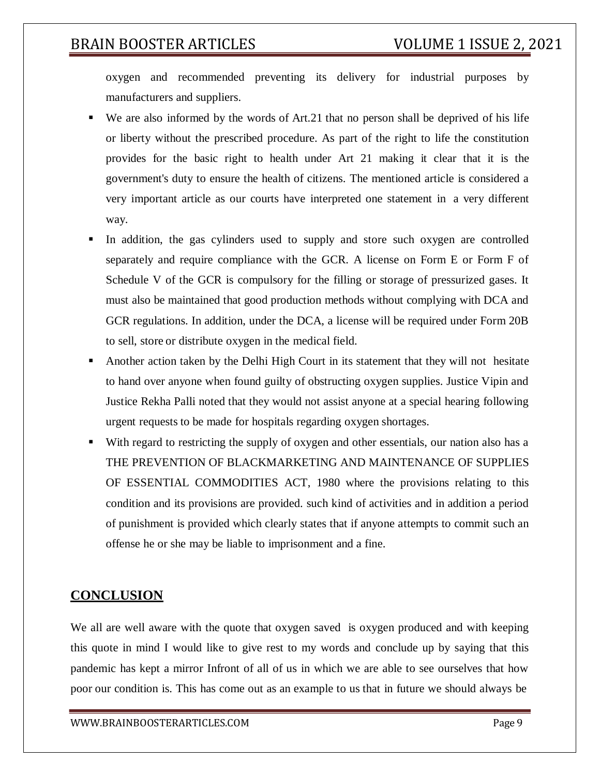oxygen and recommended preventing its delivery for industrial purposes by manufacturers and suppliers.

- We are also informed by the words of Art.21 that no person shall be deprived of his life or liberty without the prescribed procedure. As part of the right to life the constitution provides for the basic right to health under Art 21 making it clear that it is the government's duty to ensure the health of citizens. The mentioned article is considered a very important article as our courts have interpreted one statement in a very different way.
- In addition, the gas cylinders used to supply and store such oxygen are controlled separately and require compliance with the GCR. A license on Form E or Form F of Schedule V of the GCR is compulsory for the filling or storage of pressurized gases. It must also be maintained that good production methods without complying with DCA and GCR regulations. In addition, under the DCA, a license will be required under Form 20B to sell, store or distribute oxygen in the medical field.
- Another action taken by the Delhi High Court in its statement that they will not hesitate to hand over anyone when found guilty of obstructing oxygen supplies. Justice Vipin and Justice Rekha Palli noted that they would not assist anyone at a special hearing following urgent requests to be made for hospitals regarding oxygen shortages.
- With regard to restricting the supply of oxygen and other essentials, our nation also has a THE PREVENTION OF BLACKMARKETING AND MAINTENANCE OF SUPPLIES OF ESSENTIAL COMMODITIES ACT, 1980 where the provisions relating to this condition and its provisions are provided. such kind of activities and in addition a period of punishment is provided which clearly states that if anyone attempts to commit such an offense he or she may be liable to imprisonment and a fine.

#### **CONCLUSION**

We all are well aware with the quote that oxygen saved is oxygen produced and with keeping this quote in mind I would like to give rest to my words and conclude up by saying that this pandemic has kept a mirror Infront of all of us in which we are able to see ourselves that how poor our condition is. This has come out as an example to us that in future we should always be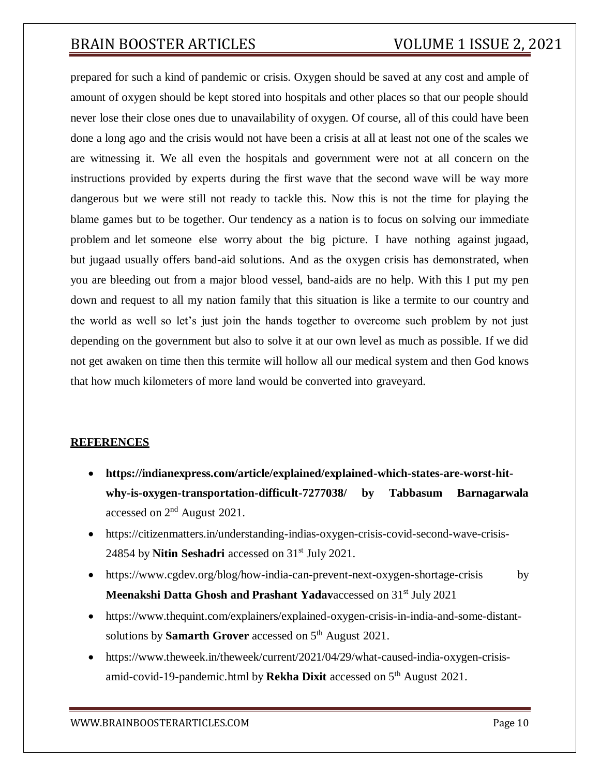prepared for such a kind of pandemic or crisis. Oxygen should be saved at any cost and ample of amount of oxygen should be kept stored into hospitals and other places so that our people should never lose their close ones due to unavailability of oxygen. Of course, all of this could have been done a long ago and the crisis would not have been a crisis at all at least not one of the scales we are witnessing it. We all even the hospitals and government were not at all concern on the instructions provided by experts during the first wave that the second wave will be way more dangerous but we were still not ready to tackle this. Now this is not the time for playing the blame games but to be together. Our tendency as a nation is to focus on solving our immediate problem and let someone else worry about the big picture. I have nothing against jugaad, but jugaad usually offers band-aid solutions. And as the oxygen crisis has demonstrated, when you are bleeding out from a major blood vessel, band-aids are no help. With this I put my pen down and request to all my nation family that this situation is like a termite to our country and the world as well so let's just join the hands together to overcome such problem by not just depending on the government but also to solve it at our own level as much as possible. If we did not get awaken on time then this termite will hollow all our medical system and then God knows that how much kilometers of more land would be converted into graveyard.

#### **REFERENCES**

- **https://indianexpress.com/article/explained/explained-which-states-are-worst-hitwhy-is-oxygen-transportation-difficult-7277038/ by Tabbasum Barnagarwala** accessed on 2<sup>nd</sup> August 2021.
- https://citizenmatters.in/understanding-indias-oxygen-crisis-covid-second-wave-crisis-24854 by **Nitin Seshadri** accessed on 31st July 2021.
- https:[//www.cgdev.org/blog/how-india-can-prevent-next-oxygen-shortage-crisis](http://www.cgdev.org/blog/how-india-can-prevent-next-oxygen-shortage-crisis) by **Meenakshi Datta Ghosh and Prashant Yadav**accessed on 31st July 2021
- https:[//www.thequint.com/explainers/explained-oxygen-crisis-in-india-and-some-distant](http://www.thequint.com/explainers/explained-oxygen-crisis-in-india-and-some-distant-)solutions by **Samarth Grover** accessed on 5<sup>th</sup> August 2021.
- https:[//www.theweek.in/theweek/current/2021/04/29/what-caused-india-oxygen-crisis](http://www.theweek.in/theweek/current/2021/04/29/what-caused-india-oxygen-crisis-)amid-covid-19-pandemic.html by **Rekha Dixit** accessed on 5<sup>th</sup> August 2021.